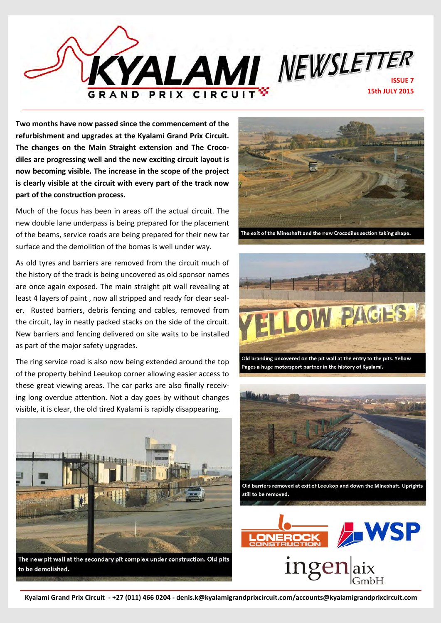

**Two months have now passed since the commencement of the refurbishment and upgrades at the Kyalami Grand Prix Circuit. The changes on the Main Straight extension and The Crocodiles are progressing well and the new exciting circuit layout is now becoming visible. The increase in the scope of the project is clearly visible at the circuit with every part of the track now part of the construction process.**

Much of the focus has been in areas off the actual circuit. The new double lane underpass is being prepared for the placement of the beams, service roads are being prepared for their new tar surface and the demolition of the bomas is well under way.

As old tyres and barriers are removed from the circuit much of the history of the track is being uncovered as old sponsor names are once again exposed. The main straight pit wall revealing at least 4 layers of paint , now all stripped and ready for clear sealer. Rusted barriers, debris fencing and cables, removed from the circuit, lay in neatly packed stacks on the side of the circuit. New barriers and fencing delivered on site waits to be installed as part of the major safety upgrades.

The ring service road is also now being extended around the top of the property behind Leeukop corner allowing easier access to these great viewing areas. The car parks are also finally receiving long overdue attention. Not a day goes by without changes visible, it is clear, the old tired Kyalami is rapidly disappearing.



The new pit wall at the secondary pit complex under construction. Old pits to be demolished.



The exit of the Mineshaft and the new Crocodiles section taking shape.



Old branding uncovered on the pit wall at the entry to the pits. Yellow Pages a huge motorsport partner in the history of Kyalami.



Old barriers removed at exit of Leeukop and down the Mineshaft. Uprights still to be removed.

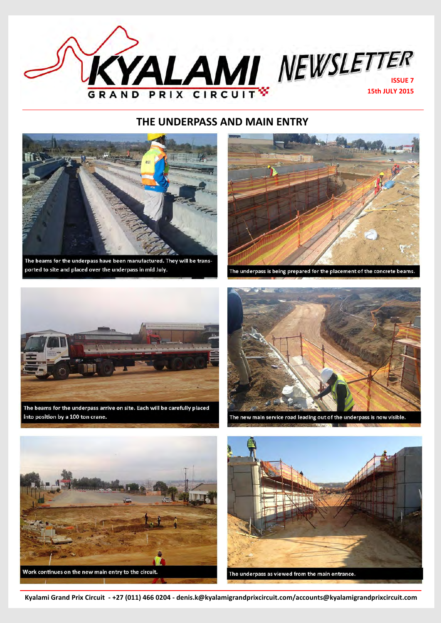

## **THE UNDERPASS AND MAIN ENTRY**



The beams for the underpass have been manufactured. They will be transported to site and placed over the underpass in mid July.



The underpass is being prepared for the placement of the concrete beams.



The beams for the underpass arrive on site. Each will be carefully placed into position by a 100 ton crane.



The new main service road leading out of the underpass is now visible.





**Kyalami Grand Prix Circuit - +27 (011) 466 0204 - denis.k@kyalamigrandprixcircuit.com/accounts@kyalamigrandprixcircuit.com**